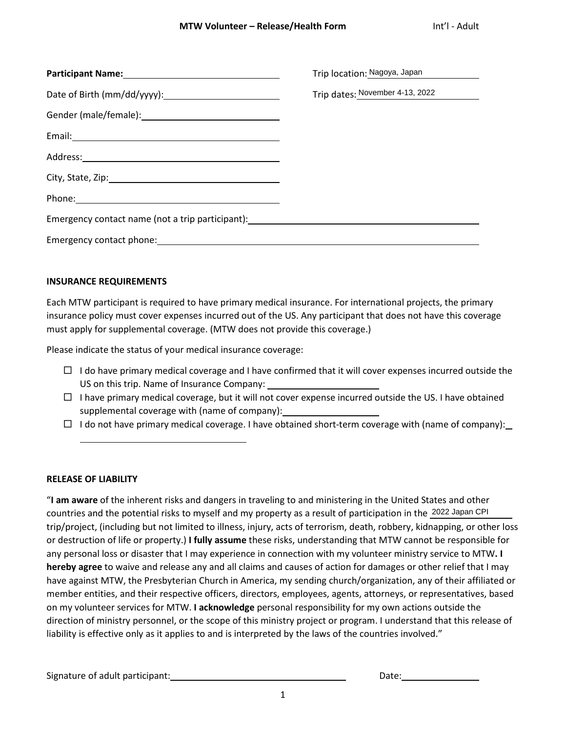|                                                                                                                                                                                                                                                                                                          | Trip location: Nagoya, Japan                                                                                                                                                                                                                                                                                    |
|----------------------------------------------------------------------------------------------------------------------------------------------------------------------------------------------------------------------------------------------------------------------------------------------------------|-----------------------------------------------------------------------------------------------------------------------------------------------------------------------------------------------------------------------------------------------------------------------------------------------------------------|
| Trip dates: November 4-13, 2022                                                                                                                                                                                                                                                                          |                                                                                                                                                                                                                                                                                                                 |
|                                                                                                                                                                                                                                                                                                          |                                                                                                                                                                                                                                                                                                                 |
|                                                                                                                                                                                                                                                                                                          |                                                                                                                                                                                                                                                                                                                 |
|                                                                                                                                                                                                                                                                                                          |                                                                                                                                                                                                                                                                                                                 |
|                                                                                                                                                                                                                                                                                                          |                                                                                                                                                                                                                                                                                                                 |
| Phone: Note: The Contract of the Contract of the Contract of the Contract of the Contract of the Contract of the Contract of the Contract of the Contract of the Contract of the Contract of the Contract of the Contract of t                                                                           |                                                                                                                                                                                                                                                                                                                 |
| Emergency contact name (not a trip participant): entitled and an approximate control of the state of the state of the state of the state of the state of the state of the state of the state of the state of the state of the                                                                            |                                                                                                                                                                                                                                                                                                                 |
|                                                                                                                                                                                                                                                                                                          |                                                                                                                                                                                                                                                                                                                 |
|                                                                                                                                                                                                                                                                                                          |                                                                                                                                                                                                                                                                                                                 |
| <b>INSURANCE REQUIREMENTS</b>                                                                                                                                                                                                                                                                            |                                                                                                                                                                                                                                                                                                                 |
| Each MTW participant is required to have primary medical insurance. For international projects, the primar<br>insurance policy must cover expenses incurred out of the US. Any participant that does not have this covera<br>must apply for supplemental coverage. (MTW does not provide this coverage.) |                                                                                                                                                                                                                                                                                                                 |
| Please indicate the status of your medical insurance coverage:                                                                                                                                                                                                                                           |                                                                                                                                                                                                                                                                                                                 |
| $\Box$<br>US on this trip. Name of Insurance Company:<br>$\Box$<br>supplemental coverage with (name of company): __________________________________<br>$\Box$                                                                                                                                            | I do have primary medical coverage and I have confirmed that it will cover expenses incurred outsion<br>I have primary medical coverage, but it will not cover expense incurred outside the US. I have obtai<br>I do not have primary medical coverage. I have obtained short-term coverage with (name of compa |
| <b>RELEASE OF LIABILITY</b><br>"I am aware of the inherent risks and dangers in traveling to and ministering in the United States and other                                                                                                                                                              |                                                                                                                                                                                                                                                                                                                 |

## **INSURANCE REQUIREMENTS**

- $\Box$  I do have primary medical coverage and I have confirmed that it will cover expenses incurred outside the US on this trip. Name of Insurance Company:
- $\Box$  I have primary medical coverage, but it will not cover expense incurred outside the US. I have obtained supplemental coverage with (name of company):
- $\Box$  I do not have primary medical coverage. I have obtained short-term coverage with (name of company):

## **RELEASE OF LIABILITY**

"**I am aware** of the inherent risks and dangers in traveling to and ministering in the United States and other countries and the potential risks to myself and my property as a result of participation in the 2022 Japan CPI trip/project, (including but not limited to illness, injury, acts of terrorism, death, robbery, kidnapping, or other loss or destruction of life or property.) **I fully assume** these risks, understanding that MTW cannot be responsible for any personal loss or disaster that I may experience in connection with my volunteer ministry service to MTW**. I hereby agree** to waive and release any and all claims and causes of action for damages or other relief that I may have against MTW, the Presbyterian Church in America, my sending church/organization, any of their affiliated or member entities, and their respective officers, directors, employees, agents, attorneys, or representatives, based on my volunteer services for MTW. **I acknowledge** personal responsibility for my own actions outside the direction of ministry personnel, or the scope of this ministry project or program. I understand that this release of liability is effective only as it applies to and is interpreted by the laws of the countries involved."

Signature of adult participant:  $\qquad \qquad$  Date: Date: Date: